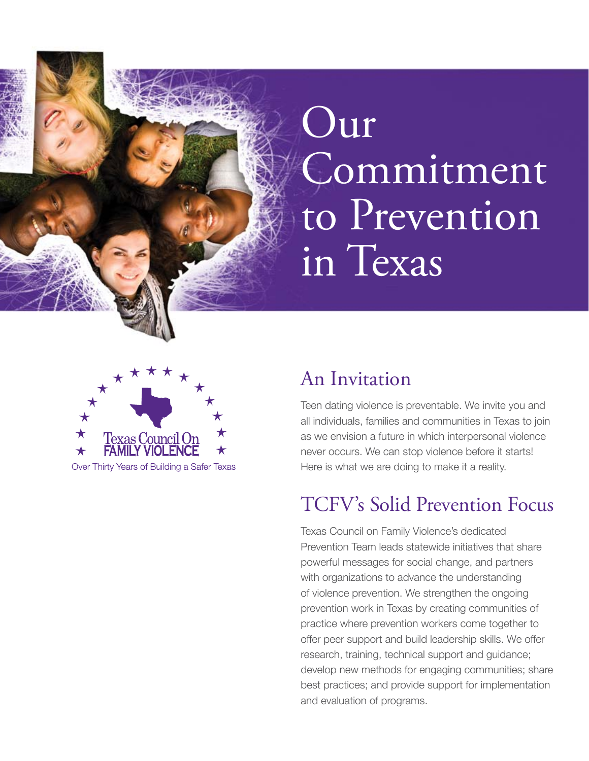# Our Commitment to Prevention in Texas



#### An Invitation

Teen dating violence is preventable. We invite you and all individuals, families and communities in Texas to join as we envision a future in which interpersonal violence never occurs. We can stop violence before it starts! Here is what we are doing to make it a reality.

### TCFV's Solid Prevention Focus

Texas Council on Family Violence's dedicated Prevention Team leads statewide initiatives that share powerful messages for social change, and partners with organizations to advance the understanding of violence prevention. We strengthen the ongoing prevention work in Texas by creating communities of practice where prevention workers come together to offer peer support and build leadership skills. We offer research, training, technical support and guidance; develop new methods for engaging communities; share best practices; and provide support for implementation and evaluation of programs.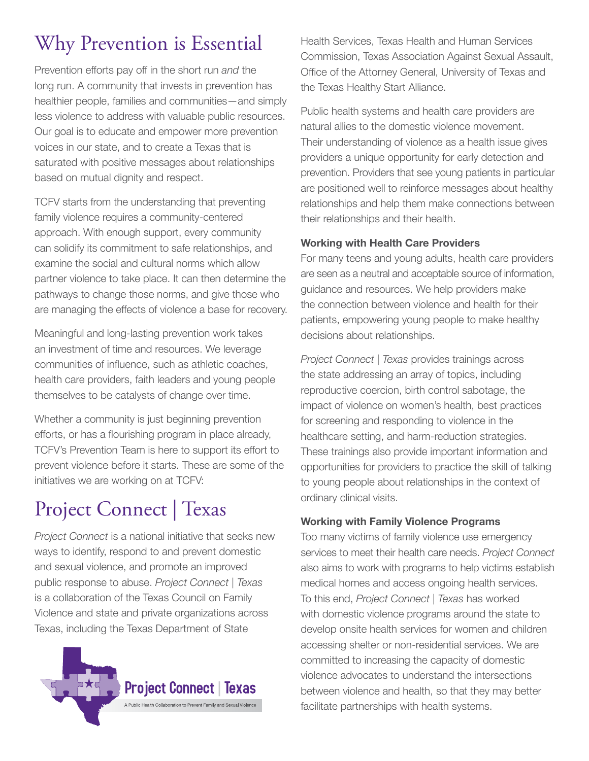# Why Prevention is Essential

Prevention efforts pay off in the short run *and* the long run. A community that invests in prevention has healthier people, families and communities—and simply less violence to address with valuable public resources. Our goal is to educate and empower more prevention voices in our state, and to create a Texas that is saturated with positive messages about relationships based on mutual dignity and respect.

TCFV starts from the understanding that preventing family violence requires a community-centered approach. With enough support, every community can solidify its commitment to safe relationships, and examine the social and cultural norms which allow partner violence to take place. It can then determine the pathways to change those norms, and give those who are managing the effects of violence a base for recovery.

Meaningful and long-lasting prevention work takes an investment of time and resources. We leverage communities of influence, such as athletic coaches, health care providers, faith leaders and young people themselves to be catalysts of change over time.

Whether a community is just beginning prevention efforts, or has a flourishing program in place already, TCFV's Prevention Team is here to support its effort to prevent violence before it starts. These are some of the initiatives we are working on at TCFV:

# Project Connect | Texas

*Project Connect* is a national initiative that seeks new ways to identify, respond to and prevent domestic and sexual violence, and promote an improved public response to abuse. *Project Connect | Texas* is a collaboration of the Texas Council on Family Violence and state and private organizations across Texas, including the Texas Department of State



Health Services, Texas Health and Human Services Commission, Texas Association Against Sexual Assault, Office of the Attorney General, University of Texas and the Texas Healthy Start Alliance.

Public health systems and health care providers are natural allies to the domestic violence movement. Their understanding of violence as a health issue gives providers a unique opportunity for early detection and prevention. Providers that see young patients in particular are positioned well to reinforce messages about healthy relationships and help them make connections between their relationships and their health.

#### **Working with Health Care Providers**

For many teens and young adults, health care providers are seen as a neutral and acceptable source of information, guidance and resources. We help providers make the connection between violence and health for their patients, empowering young people to make healthy decisions about relationships.

*Project Connect | Texas* provides trainings across the state addressing an array of topics, including reproductive coercion, birth control sabotage, the impact of violence on women's health, best practices for screening and responding to violence in the healthcare setting, and harm-reduction strategies. These trainings also provide important information and opportunities for providers to practice the skill of talking to young people about relationships in the context of ordinary clinical visits.

#### **Working with Family Violence Programs**

Too many victims of family violence use emergency services to meet their health care needs. *Project Connect* also aims to work with programs to help victims establish medical homes and access ongoing health services. To this end, *Project Connect | Texas* has worked with domestic violence programs around the state to develop onsite health services for women and children accessing shelter or non-residential services. We are committed to increasing the capacity of domestic violence advocates to understand the intersections between violence and health, so that they may better facilitate partnerships with health systems.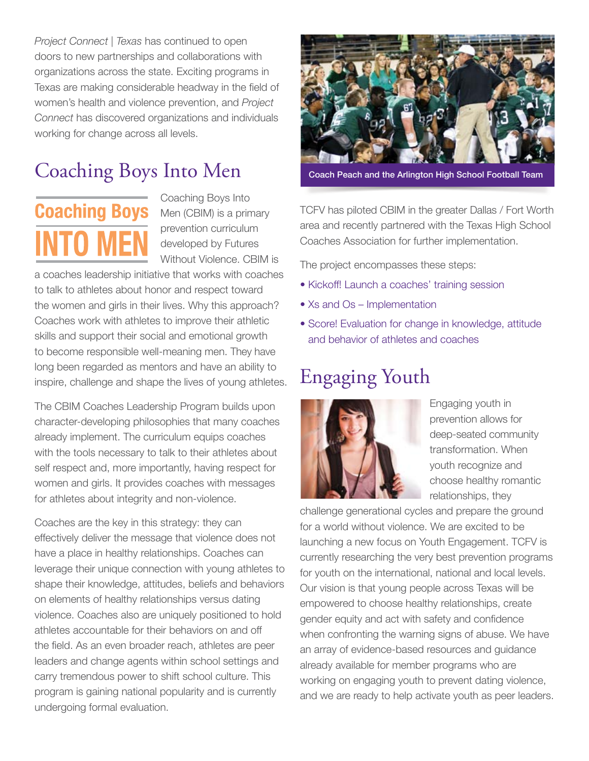*Project Connect | Texas* has continued to open doors to new partnerships and collaborations with organizations across the state. Exciting programs in Texas are making considerable headway in the field of women's health and violence prevention, and *Project Connect* has discovered organizations and individuals working for change across all levels.

# Coaching Boys Into Men



Coaching Boys Into prevention curriculum developed by Futures Without Violence. CBIM is

a coaches leadership initiative that works with coaches to talk to athletes about honor and respect toward the women and girls in their lives. Why this approach? Coaches work with athletes to improve their athletic skills and support their social and emotional growth to become responsible well-meaning men. They have long been regarded as mentors and have an ability to inspire, challenge and shape the lives of young athletes.

The CBIM Coaches Leadership Program builds upon character-developing philosophies that many coaches already implement. The curriculum equips coaches with the tools necessary to talk to their athletes about self respect and, more importantly, having respect for women and girls. It provides coaches with messages for athletes about integrity and non-violence.

Coaches are the key in this strategy: they can effectively deliver the message that violence does not have a place in healthy relationships. Coaches can leverage their unique connection with young athletes to shape their knowledge, attitudes, beliefs and behaviors on elements of healthy relationships versus dating violence. Coaches also are uniquely positioned to hold athletes accountable for their behaviors on and off the field. As an even broader reach, athletes are peer leaders and change agents within school settings and carry tremendous power to shift school culture. This program is gaining national popularity and is currently undergoing formal evaluation.



Coach Peach and the Arlington High School Football Team

TCFV has piloted CBIM in the greater Dallas / Fort Worth area and recently partnered with the Texas High School Coaches Association for further implementation.

The project encompasses these steps:

- Kickoff! Launch a coaches' training session
- Xs and Os Implementation
- Score! Evaluation for change in knowledge, attitude and behavior of athletes and coaches

# Engaging Youth



Engaging youth in prevention allows for deep-seated community transformation. When youth recognize and choose healthy romantic relationships, they

challenge generational cycles and prepare the ground for a world without violence. We are excited to be launching a new focus on Youth Engagement. TCFV is currently researching the very best prevention programs for youth on the international, national and local levels. Our vision is that young people across Texas will be empowered to choose healthy relationships, create gender equity and act with safety and confidence when confronting the warning signs of abuse. We have an array of evidence-based resources and guidance already available for member programs who are working on engaging youth to prevent dating violence, and we are ready to help activate youth as peer leaders.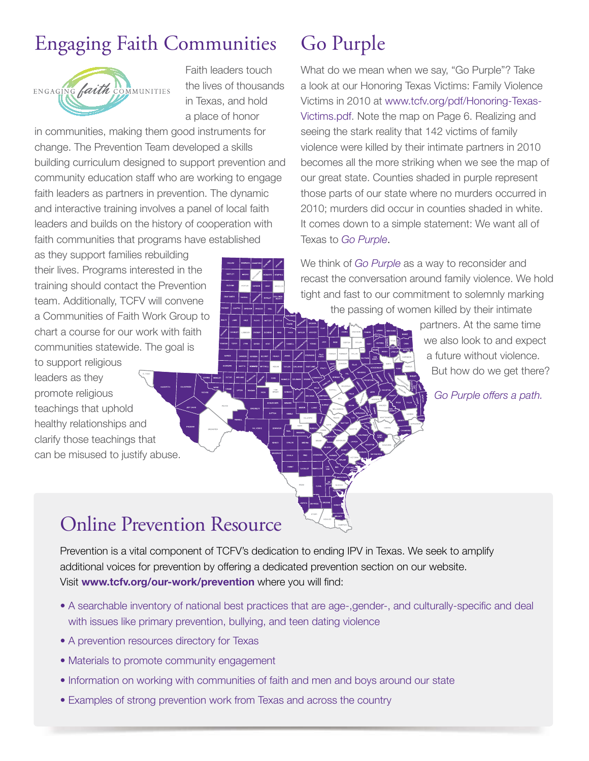# Engaging Faith Communities



Faith leaders touch the lives of thousands in Texas, and hold a place of honor

in communities, making them good instruments for change. The Prevention Team developed a skills building curriculum designed to support prevention and community education staff who are working to engage faith leaders as partners in prevention. The dynamic and interactive training involves a panel of local faith leaders and builds on the history of cooperation with faith communities that programs have established

as they support families rebuilding their lives. Programs interested in the training should contact the Prevention team. Additionally, TCFV will convene a Communities of Faith Work Group to chart a course for our work with faith communities statewide. The goal is

to support religious leaders as they promote religious teachings that uphold healthy relationships and clarify those teachings that can be misused to justify abuse.

### Go Purple

What do we mean when we say, "Go Purple"? Take a look at our Honoring Texas Victims: Family Violence Victims in 2010 at www.tcfv.org/pdf/Honoring-Texas-Victims.pdf. Note the map on Page 6. Realizing and seeing the stark reality that 142 victims of family violence were killed by their intimate partners in 2010 becomes all the more striking when we see the map of our great state. Counties shaded in purple represent those parts of our state where no murders occurred in 2010; murders did occur in counties shaded in white. It comes down to a simple statement: We want all of Texas to *Go Purple*.

We think of *Go Purple* as a way to reconsider and recast the conversation around family violence. We hold tight and fast to our commitment to solemnly marking the passing of women killed by their intimate

> partners. At the same time we also look to and expect a future without violence. But how do we get there?

> > *Go Purple offers a path.*

#### Online Prevention Resource

Prevention is a vital component of TCFV's dedication to ending IPV in Texas. We seek to amplify additional voices for prevention by offering a dedicated prevention section on our website. Visit **www.tcfv.org/our-work/prevention** where you will find:

- A searchable inventory of national best practices that are age-,gender-, and culturally-specific and deal with issues like primary prevention, bullying, and teen dating violence
- A prevention resources directory for Texas
- Materials to promote community engagement
- Information on working with communities of faith and men and boys around our state
- Examples of strong prevention work from Texas and across the country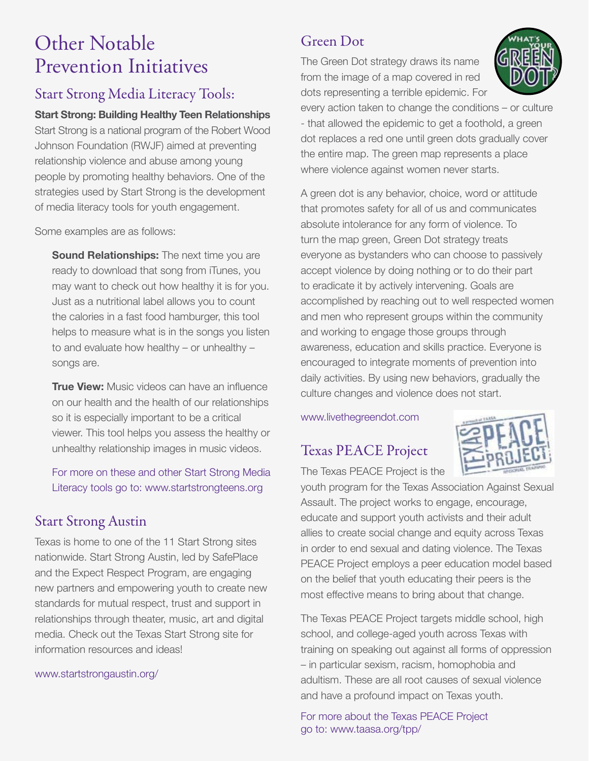#### Other Notable Prevention Initiatives

#### Start Strong Media Literacy Tools:

**Start Strong: Building Healthy Teen Relationships**  Start Strong is a national program of the Robert Wood Johnson Foundation (RWJF) aimed at preventing relationship violence and abuse among young people by promoting healthy behaviors. One of the strategies used by Start Strong is the development of media literacy tools for youth engagement.

Some examples are as follows:

**Sound Relationships:** The next time you are ready to download that song from iTunes, you may want to check out how healthy it is for you. Just as a nutritional label allows you to count the calories in a fast food hamburger, this tool helps to measure what is in the songs you listen to and evaluate how healthy – or unhealthy – songs are.

**True View:** Music videos can have an influence on our health and the health of our relationships so it is especially important to be a critical viewer. This tool helps you assess the healthy or unhealthy relationship images in music videos.

For more on these and other Start Strong Media Literacy tools go to: www.startstrongteens.org

#### Start Strong Austin

Texas is home to one of the 11 Start Strong sites nationwide. Start Strong Austin, led by SafePlace and the Expect Respect Program, are engaging new partners and empowering youth to create new standards for mutual respect, trust and support in relationships through theater, music, art and digital media. Check out the Texas Start Strong site for information resources and ideas!

www.startstrongaustin.org/

#### Green Dot

The Green Dot strategy draws its name from the image of a map covered in red dots representing a terrible epidemic. For



every action taken to change the conditions – or culture - that allowed the epidemic to get a foothold, a green dot replaces a red one until green dots gradually cover the entire map. The green map represents a place where violence against women never starts.

A green dot is any behavior, choice, word or attitude that promotes safety for all of us and communicates absolute intolerance for any form of violence. To turn the map green, Green Dot strategy treats everyone as bystanders who can choose to passively accept violence by doing nothing or to do their part to eradicate it by actively intervening. Goals are accomplished by reaching out to well respected women and men who represent groups within the community and working to engage those groups through awareness, education and skills practice. Everyone is encouraged to integrate moments of prevention into daily activities. By using new behaviors, gradually the culture changes and violence does not start.

www.livethegreendot.com

#### Texas PEACE Project



The Texas PEACE Project is the

youth program for the Texas Association Against Sexual Assault. The project works to engage, encourage, educate and support youth activists and their adult allies to create social change and equity across Texas in order to end sexual and dating violence. The Texas PEACE Project employs a peer education model based on the belief that youth educating their peers is the most effective means to bring about that change.

The Texas PEACE Project targets middle school, high school, and college-aged youth across Texas with training on speaking out against all forms of oppression – in particular sexism, racism, homophobia and adultism. These are all root causes of sexual violence and have a profound impact on Texas youth.

For more about the Texas PEACE Project go to: www.taasa.org/tpp/